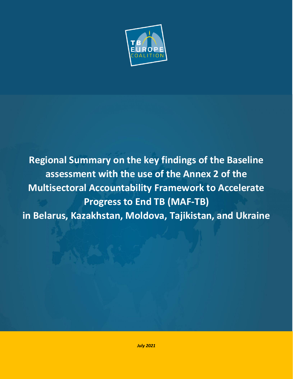

**Regional Summary on the key findings of the Baseline assessment with the use of the Annex 2 of the Multisectoral Accountability Framework to Accelerate Progress to End TB (MAF-TB) in Belarus, Kazakhstan, Moldova, Tajikistan, and Ukraine**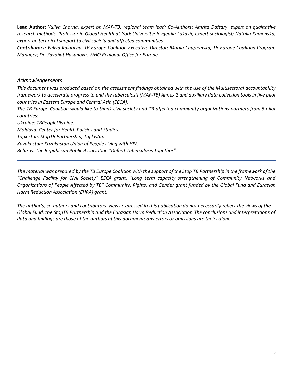**Lead Author:** *Yuliya Chorna, expert on MAF-TB, regional team lead; Co-Authors*: *Amrita Daftary, expert on qualitative research methods, Professor in Global Health at York University; Ievgeniia Lukash, expert-sociologist; Natalia Kamenska, expert on technical support to civil society and affected communities.*

*Contributors: Yuliya Kalancha, TB Europe Coalition Executive Director; Mariia Chuprynska, TB Europe Coalition Program Manager; Dr. Sayohat Hasanova, WHO Regional Office for Europe.*

## <span id="page-1-0"></span>*Acknowledgements*

*This document was produced based on the assessment findings obtained with the use of the Multisectoral accountability framework to accelerate progress to end the tuberculosis (MAF-TB) Annex 2 and auxiliary data collection tools in five pilot countries in Eastern Europe and Central Asia (EECA).*

*The TB Europe Coalition would like to thank civil society and TB-affected community organizations partners from 5 pilot countries:*

*Ukraine: TBPeopleUkraine. Moldova: Center for Health Policies and Studies. Tajikistan: StopTB Partnership, Tajikistan. Kazakhstan: Kazakhstan Union of People Living with HIV. Belarus: The Republican Public Association "Defeat Tuberculosis Together".*

*The material was prepared by the TB Europe Coalition with the support of the Stop TB Partnership in the framework of the "Challenge Facility for Civil Society" EECA grant, "Long term capacity strengthening of Community Networks and Organizations of People Affected by TB" Community, Rights, and Gender grant funded by the Global Fund and Eurasian Harm Reduction Association (EHRA) grant.*

*The author's, co-authors and contributors' views expressed in this publication do not necessarily reflect the views of the Global Fund, the StopTB Partnership and the Eurasian Harm Reduction Association The conclusions and interpretations of data and findings are those of the authors of this document; any errors or omissions are theirs alone.*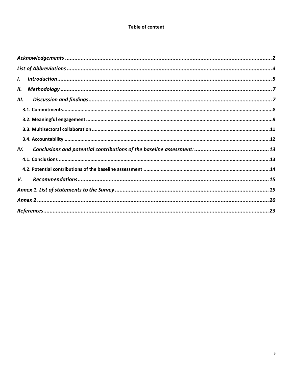## **Table of content**

| $\mathbf{L}$ |  |
|--------------|--|
| Н.           |  |
| Ш.           |  |
|              |  |
|              |  |
|              |  |
|              |  |
| IV.          |  |
|              |  |
|              |  |
| V.           |  |
|              |  |
|              |  |
|              |  |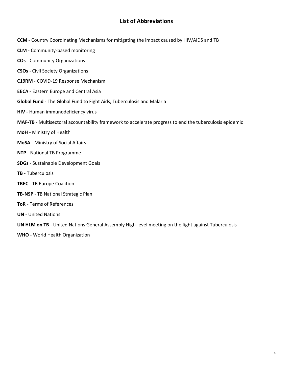# **List of Abbreviations**

- <span id="page-3-0"></span>**CCM** - Country Coordinating Mechanisms for mitigating the impact caused by HIV/AIDS and TB
- **CLM** Community-based monitoring
- **COs** Community Organizations
- **CSOs** Civil Society Organizations
- **C19RM** COVID-19 Response Mechanism
- **EECA** Eastern Europe and Central Asia
- **Global Fund** The Global Fund to Fight Aids, Tuberculosis and Malaria
- **HIV** Human immunodeficiency virus
- **MAF-TB** Multisectoral accountability framework to accelerate progress to end the tuberculosis epidemic
- **MoH**  Ministry of Health
- **MoSA** Ministry of Social Affairs
- **NTP** National TB Programme
- **SDGs** Sustainable Development Goals
- **TB** Tuberculosis
- **TBEC** TB Europe Coalition
- **TB-NSP** TB National Strategic Plan
- **ToR** Terms of References
- **UN** United Nations
- **UN HLM on TB** United Nations General Assembly High-level meeting on the fight against Tuberculosis
- **WHO**  World Health Organization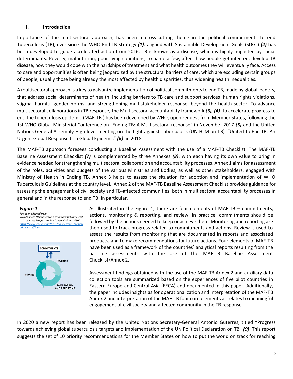#### <span id="page-4-0"></span>**I. Introduction**

Importance of the multisectoral approach, has been a cross-cutting theme in the political commitments to end Tuberculosis (TB), ever since the WHO End TB Strategy *(1),* aligned with Sustainable Development Goals (SDGs) *(2)* has been developed to guide accelerated action from 2016. TB is known as a disease, which is highly impacted by social determinants. Poverty, malnutrition, poor living conditions, to name a few, affect how people get infected, develop TB disease, how they would cope with the hardships of treatment and what health outcomes they will eventually face. Access to care and opportunities is often being jeopardized by the structural barriers of care, which are excluding certain groups of people, usually those being already the most affected by health disparities, thus widening health inequalities.

A multisectoral approach is a key to galvanize implementation of political commitments to end TB, made by global leaders, that address social determinants of health, including barriers to TB care and support services, human rights violations, stigma, harmful gender norms, and strengthening multistakeholder response, beyond the health sector. To advance multisectoral collaborations in TB response, the Multisectoral accountability framework *(3), (4)* to accelerate progress to end the tuberculosis epidemic (MAF-TB ) has been developed by WHO, upon request from Member States, following the 1st WHO Global Ministerial Conference on "Ending TB: A Multisectoral response" in November 2017 *(5)* and the United Nations General Assembly High-level meeting on the fight against Tuberculosis (UN HLM on TB) "United to End TB: An Urgent Global Response to a Global Epidemic" *(6)* in 2018.

The MAF-TB approach foresees conducting a Baseline Assessment with the use of a MAF-TB Checklist. The MAF-TB Baseline Assessment Checklist *(7)* is complemented by three Annexes *(8)*; with each having its own value to bring in evidence needed for strengthening multisectoral collaboration and accountability processes. Annex 1 aims for assessment of the roles, activities and budgets of the various Ministries and Bodies, as well as other stakeholders, engaged with Ministry of Health in Ending TB. Annex 3 helps to assess the situation for adoption and implementation of WHO Tuberculosis Guidelines at the country level. Annex 2 of the MAF-TB Baseline Assessment Checklist provides guidance for assessing the engagement of civil society and TB-affected communities, both in multisectoral accountability processes in general and in the response to end TB, in particular.

#### *Figure 1*

*has been adopted from WHO's guide "Multisectoral Accountability Framework to Accelerate Progress to End Tuberculosis by 2030" [https://www.who.int/tb/WHO\\_Multisectoral\\_Framew](https://www.who.int/tb/WHO_Multisectoral_Framework_web.pdf?ua=1) [ork\\_web.pdf?ua=1](https://www.who.int/tb/WHO_Multisectoral_Framework_web.pdf?ua=1)*



As illustrated in the Figure 1, there are four elements of MAF-TB – commitments, actions, monitoring & reporting, and review. In practice, commitments should be followed by the actions needed to keep or achieve them. Monitoring and reporting are then used to track progress related to commitments and actions. Review is used to assess the results from monitoring that are documented in reports and associated products, and to make recommendations for future actions. Four elements of MAF-TB have been used as a framework of the countries' analytical reports resulting from the baseline assessments with the use of the MAF-TB Baseline Assessment Checklist/Annex 2.

Assessment findings obtained with the use of the MAF-TB Annex 2 and auxiliary data collection tools are summarized based on the experiences of five pilot countries in Eastern Europe and Central Asia (EECA) and documented in this paper. Additionally, the paper includes insights as for operationalization and interpretation of the MAF-TB Annex 2 and interpretation of the MAF-TB four core elements as relates to meaningful engagement of civil society and affected community in the TB response.

In 2020 a new report has been released by the United Nations Secretary-General António Guterres, titled "Progress towards achieving global tuberculosis targets and implementation of the UN Political Declaration on TB" *(9)*. This report suggests the set of 10 priority recommendations for the Member States on how to put the world on track for reaching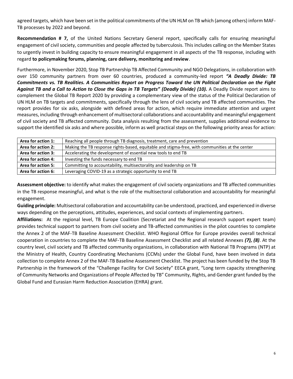agreed targets, which have been set in the political commitments of the UN HLM on TB which (among others) inform MAF-TB processes by 2022 and beyond.

**Recommendation # 7,** of the United Nations Secretary General report, specifically calls for ensuring meaningful engagement of civil society, communities and people affected by tuberculosis. This includes calling on the Member States to urgently invest in building capacity to ensure meaningful engagement in all aspects of the TB response, including with regard **to policymaking forums, planning, care delivery, monitoring and review**.

Furthermore, in November 2020, Stop TB Partnership TB Affected Community and NGO Delegations, in collaboration with over 150 community partners from over 60 countries, produced a community-led report *"A Deadly Divide: TB Commitments vs. TB Realities. A Communities Report on Progress Toward the UN Political Declaration on the Fight Against TB and a Call to Action to Close the Gaps in TB Targets" (Deadly Divide) (10).* A Deadly Divide report aims to complement the Global TB Report 2020 by providing a complementary view of the status of the Political Declaration of UN HLM on TB targets and commitments, specifically through the lens of civil society and TB affected communities. The report provides for six asks, alongside with defined areas for action, which require immediate attention and urgent measures, including through enhancement of multisectoral collaborations and accountability and meaningful engagement of civil society and TB affected community. Data analysis resulting from the assessment, supplies additional evidence to support the identified six asks and where possible, inform as well practical steps on the following priority areas for action:

| Area for action 1: | Reaching all people through TB diagnosis, treatment, care and prevention                       |
|--------------------|------------------------------------------------------------------------------------------------|
| Area for action 2: | Making the TB response rights-based, equitable and stigma-free, with communities at the center |
| Area for action 3: | Accelerating the development of essential new tools to end TB                                  |
| Area for action 4: | Investing the funds necessary to end TB                                                        |
| Area for action 5: | Committing to accountability, multisectorality and leadership on TB                            |
| Area for action 6: | Leveraging COVID-19 as a strategic opportunity to end TB                                       |

**Assessment objective:** to identify what makes the engagement of civil society organizations and TB affected communities in the TB response meaningful, and what is the role of the multisectoral collaboration and accountability for meaningful engagement.

**Guiding principle:** Multisectoral collaboration and accountability can be understood, practiced, and experienced in diverse ways depending on the perceptions, attitudes, experiences, and social contexts of implementing partners.

**Affiliations:** At the regional level, TB Europe Coalition (Secretariat and the Regional research support expert team) provides technical support to partners from civil society and TB-affected communities in the pilot countries to complete the Annex 2 of the MAF-TB Baseline Assessment Checklist. WHO Regional Office for Europe provides overall technical cooperation in countries to complete the MAF-TB Baseline Assessment Checklist and all related Annexes *(7), (8)*. At the country level, civil society and TB affected community organizations, in collaboration with National TB Programs (NTP) at the Ministry of Health, Country Coordinating Mechanisms (CCMs) under the Global Fund, have been involved in data collection to complete Annex 2 of the MAF-TB Baseline Assessment Checklist. The project has been funded by the Stop TB Partnership in the framework of the "Challenge Facility for Civil Society" EECA grant, "Long term capacity strengthening of Community Networks and Organizations of People Affected by TB" Community, Rights, and Gender grant funded by the Global Fund and Eurasian Harm Reduction Association (EHRA) grant.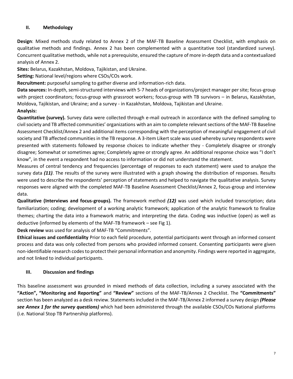### <span id="page-6-0"></span>**II. Methodology**

**Design**: Mixed methods study related to Annex 2 of the MAF-TB Baseline Assessment Checklist, with emphasis on qualitative methods and findings. Annex 2 has been complemented with a quantitative tool (standardized survey). Concurrent qualitative methods, while not a prerequisite, ensured the capture of more in-depth data and a contextualized analysis of Annex 2.

**Sites:** Belarus, Kazakhstan, Moldova, Tajikistan, and Ukraine.

**Setting:** National level/regions where CSOs/COs work.

**Recruitment:** purposeful sampling to gather diverse and information-rich data.

**Data sources:** In-depth, semi-structured interviews with 5-7 heads of organizations/project manager per site; focus-group with project coordinators; focus-group with grassroot workers; focus-group with TB survivors – in Belarus, Kazakhstan, Moldova, Tajikistan, and Ukraine; and a survey - in Kazakhstan, Moldova, Tajikistan and Ukraine.

**Analysis:**

**Quantitative (survey).** Survey data were collected through e-mail outreach in accordance with the defined sampling to civil society and TB affected communities' organizations with an aim to complete relevant sections of the MAF-TB Baseline Assessment Checklist/Annex 2 and additional items corresponding with the perception of meaningful engagement of civil society and TB affected communities in the TB response. A 3-item Likert scale was used whereby survey respondents were presented with statements followed by response choices to indicate whether they - Completely disagree or strongly disagree; Somewhat or sometimes agree; Completely agree or strongly agree. An additional response choice was "I don't know", in the event a respondent had no access to information or did not understand the statement.

Measures of central tendency and frequencies (percentage of responses to each statement) were used to analyze the survey data *(11)*. The results of the survey were illustrated with a graph showing the distribution of responses. Results were used to describe the respondents' perception of statements and helped to navigate the qualitative analysis. Survey responses were aligned with the completed MAF-TB Baseline Assessment Checklist/Annex 2, focus-group and interview data.

**Qualitative (Interviews and focus-groups).** The framework method *(12)* was used which included transcription; data familiarization; coding; development of a working analytic framework; application of the analytic framework to finalize themes; charting the data into a framework matrix; and interpreting the data. Coding was inductive (open) as well as deductive (informed by elements of the MAF-TB framework – see Fig 1).

**Desk review** was used for analysis of MAF-TB "Commitments".

**Ethical issues and confidentiality** Prior to each field procedure, potential participants went through an informed consent process and data was only collected from persons who provided informed consent. Consenting participants were given non-identifiable research codes to protect their personal information and anonymity. Findings were reported in aggregate, and not linked to individual participants.

### <span id="page-6-1"></span>**III. Discussion and findings**

This baseline assessment was grounded in mixed methods of data collection, including a survey associated with the **"Action", "Monitoring and Reporting"** and **"Review"** sections of the MAF-TB/Annex 2 Checklist. The **"Commitments"** section has been analyzed as a desk review. Statements included in the MAF-TB/Annex 2 informed a survey design *(Please see Annex 1 for the survey questions)* which had been administered through the available CSOs/COs National platforms (i.e. National Stop TB Partnership platforms).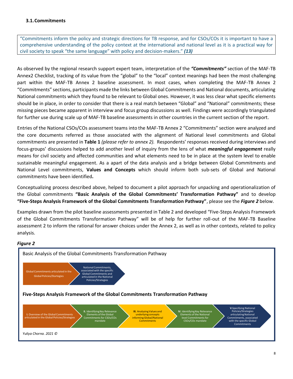<span id="page-7-0"></span>"Commitments inform the policy and strategic directions for TB response, and for CSOs/COs it is important to have a comprehensive understanding of the policy context at the international and national level as it is a practical way for civil society to speak "the same language" with policy and decision-makers." *(13)*

As observed by the regional research support expert team, interpretation of the *"Commitments"* section of the MAF-TB Annex2 Checklist, tracking of its value from the "global" to the "local" context meanings had been the most challenging part within the MAF-TB Annex 2 baseline assessment. In most cases, when completing the MAF-TB Annex 2 "Commitments" sections, participants made the links between Global Commitments and National documents, articulating National commitments which they found to be relevant to Global ones. However, it was less clear what specific elements should be in place, in order to consider that there is a real match between "Global" and "National" commitments; these missing pieces became apparent in interview and focus group discussions as well. Findings were accordingly triangulated for further use during scale up of MAF-TB baseline assessments in other countries in the current section of the report.

Entries of the National CSOs/COs assessment teams into the MAF-TB Annex 2 "Commitments" section were analyzed and the core documents referred as those associated with the alignment of National level commitments and Global commitments are presented in **Table 1** *(please refer to annex 2).* Respondents' responses received during interviews and focus-groups' discussions helped to add another level of inquiry from the lens of what *meaningful engagement* really means for civil society and affected communities and what elements need to be in place at the system level to enable sustainable meaningful engagement. As a apart of the data analysis and a bridge between Global Commitments and National Level commitments, **Values and Concepts** which should inform both sub-sets of Global and National commitments have been identified**.** 

Conceptualizing process described above, helped to document a pilot approach for unpacking and operationalization of the Global commitments **"Basic Analysis of the Global Commitments' Transformation Pathway"** and to develop **"Five-Steps Analysis Framework of the Global Commitments Transformation Pathway"**, please see the *Figure 2* below.

Examples drawn from the pilot baseline assessments presented in Table 2 and developed "Five-Steps Analysis Framework of the Global Commitments Transformation Pathway" will be of help for further roll-out of the MAF-TB Baseline assessment 2 to inform the rational for answer choices under the Annex 2, as well as in other contexts, related to policy analysis.

#### *Figure 2*

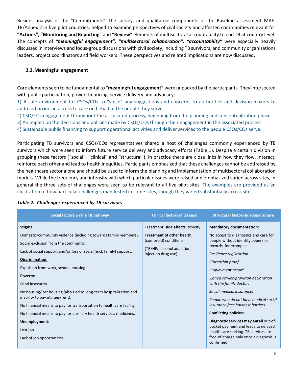Besides analysis of the "Commitments", the survey, and qualitative components of the Baseline assessment MAF-TB/Annex 2 in five pilot countries, helped to examine perspectives of civil society and affected communities relevant for **"Actions", "Monitoring and Reporting"** and **"Review"** elements of multisectoral accountability to end TB at country level. The concepts of *"meaningful engagement", "multisectoral collaboration", "accountability"* were especially heavily discussed in interviews and focus-group discussions with civil society, including TB survivors, and community organizations leaders, project coordinators and field workers. These perspectives and related implications are now discussed.

### <span id="page-8-0"></span>**3.2.Meaningful engagement**

Core elements seen to be fundamental to "**meaningful engagement"** were unpacked by the participants. They intersected with public participation, power, financing, service delivery and advocacy:

1) A safe environment for CSOs/COs to "voice" any suggestions and concerns to authorities and decision-makers to address barriers in access to care on behalf of the people they serve.

2) CSO/COs engagement throughout the associated process, beginning from the planning and conceptualization phase.

3) An impact on the decisions and policies made by CSOs/COs through their engagement in the associated process.

4) Sustainable public financing to support operational activities and deliver services to the people CSOs/COs serve.

Participating TB survivors and CSOs/COs representatives shared a host of challenges commonly experienced by TB survivors which were seen to inform future service delivery and advocacy efforts (Table 1). Despite a certain division in grouping these factors ("social", "clinical" and "structural"), in practice there are close links in how they flow, interact, reinforce each other and lead to health inequities. Participants emphasized that these challenges cannot be addressed by the healthcare sector alone and should be used to inform the planning and implementation of multisectoral collaboration models. While the frequency and intensity with which particular issues were raised and emphasized varied across sites, in general the three sets of challenges were seen to be relevant to all five pilot sites. The examples are provided as an illustration of how particular challenges manifested in some sites, though they varied substantially across sites.

| Social factors on the TB pathway                                                                         | <b>Clinical factors of disease</b>                         | <b>Structural factors in access to care</b>                                                                                                                                    |
|----------------------------------------------------------------------------------------------------------|------------------------------------------------------------|--------------------------------------------------------------------------------------------------------------------------------------------------------------------------------|
| Stigma:                                                                                                  | Treatment' side affects, toxicity.                         | <b>Mandatory documentation:</b>                                                                                                                                                |
| Domestic/community violence (including towards family members).<br>Social exclusion from the community.  | <b>Treatment of other health</b><br>(comorbid) conditions: | No access to diagnostics and care for<br>people without identity papers or<br>records, for example:                                                                            |
| Lack of social support and/or loss of social (incl. family) support.                                     | (TB/HIV; alcohol addiction;<br>injection drug use).        | Residence registration.                                                                                                                                                        |
| Discrimination:                                                                                          |                                                            | Citizenship proof.                                                                                                                                                             |
| Expulsion from work, school, housing.                                                                    |                                                            | Employment record.                                                                                                                                                             |
| Poverty:<br>Food insecurity.                                                                             |                                                            | Signed service-provision declaration<br>with the family doctor.                                                                                                                |
| No housing/lost housing (also tied to long-term hospitalization and<br>inability to pay utilities/rent). |                                                            | Social medical insurance.                                                                                                                                                      |
| No financial means to pay for transportation to healthcare facility.                                     |                                                            | People who do not have medical social<br>insurance face harshest barriers.                                                                                                     |
| No financial means to pay for auxiliary health services, medicines.                                      |                                                            | <b>Conflicting policies:</b>                                                                                                                                                   |
| Unemployment:<br>Lost job.<br>Lack of job opportunities.                                                 |                                                            | Diagnostic services may entail out-of-<br>pocket payment and leads to delayed<br>health care seeking. TB services are<br>free-of-charge only once a diagnosis is<br>confirmed. |

### *Table 2: Challenges experienced by TB survivors*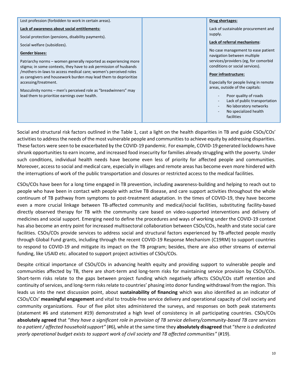| Lost profession (forbidden to work in certain areas).                                                                                 | Drug shortages:                                                         |
|---------------------------------------------------------------------------------------------------------------------------------------|-------------------------------------------------------------------------|
| Lack of awareness about social entitlements:                                                                                          | Lack of sustainable procurement and                                     |
| Social protection (pensions, disability payments).                                                                                    | supply.                                                                 |
| Social welfare (subsidizes).                                                                                                          | Lack of referral mechanisms:                                            |
| <b>Gender biases:</b>                                                                                                                 | No case management to ease patient<br>navigation between multiple       |
| Patriarchy norms – women generally reported as experiencing more<br>stigma; in some contexts, they have to ask permission of husbands | services/providers (eg, for comorbid<br>conditions or social services). |
| /mothers-in-laws to access medical care; women's perceived roles<br>as caregivers and housework burden may lead them to deprioritize  | Poor infrastructure:                                                    |
| accessing/treatment.                                                                                                                  | Especially for people living in remote                                  |
| Masculinity norms - men's perceived role as "breadwinners" may                                                                        | areas, outside of the capitals:                                         |
| lead them to prioritize earnings over health.                                                                                         | Poor quality of roads                                                   |
|                                                                                                                                       | Lack of public transportation<br>No laboratory networks                 |
|                                                                                                                                       | No specialized health                                                   |
|                                                                                                                                       | facilities                                                              |

Social and structural risk factors outlined in the Table 1, cast a light on the health disparities in TB and guide CSOs/COs' activities to address the needs of the most vulnerable people and communities to achieve equity by addressing disparities. These factors were seen to be exacerbated by the COVID-19 pandemic. For example, COVID-19 generated lockdowns have shrunk opportunities to earn income, and increased food insecurity for families already struggling with the poverty. Under such conditions, individual health needs have become even less of priority for affected people and communities. Moreover, access to social and medical care, especially in villages and remote areas has become even more hindered with the interruptions of work of the public transportation and closures or restricted access to the medical facilities.

CSOs/COs have been for a long time engaged in TB prevention, including awareness-building and helping to reach out to people who have been in contact with people with active TB disease, and care support activities throughout the whole continuum of TB pathway from symptoms to post-treatment adaptation. In the times of COVID-19, they have become even a more crucial linkage between TB-affected community and medical/social facilities, substituting facility-based directly observed therapy for TB with the community care based on video-supported interventions and delivery of medicines and social support. Emerging need to define the procedures and ways of working under the COVID-19 context has also become an entry point for increased multisectoral collaboration between CSOs/COs, health and state social care facilities. CSOs/COs provide services to address social and structural factors experienced by TB-affected people mostly through Global Fund grants, including through the recent COVID-19 Response Mechanism (C19RM) to support countries to respond to COVID-19 and mitigate its impact on the TB program; besides, there are also other streams of external funding, like USAID etc. allocated to support project activities of CSOs/COs.

Despite critical importance of CSOs/COs in advancing health equity and providing support to vulnerable people and communities affected by TB, there are short-term and long-term risks for maintaining service provision by CSOs/COs. Short-term risks relate to the gaps between project funding which negatively affects CSOs/COs staff retention and continuity of services, and long-term risks relate to countries' phasing into donor funding withdrawal from the region. This leads us into the next discussion point, about **sustainability of financing** which was also identified as an indicator of CSOs/COs' **meaningful engagement** and vital to trouble-free service delivery and operational capacity of civil society and community organizations. Four of five pilot sites administered the surveys, and responses on both peak statements (statement #6 and statement #19) demonstrated a high level of consistency in all participating countries. CSOs/COs **absolutely agreed** that "*they have a significant role in provision of TB service delivery/community-based TB care services to a patient / affected household support"* (#6), while at the same time they **absolutely disagreed** that "*there is a dedicated yearly operational budget exists to support work of civil society and TB affected communities"* (#19).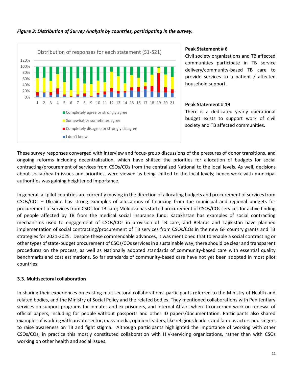

## *Figure 3: Distribution of Survey Analysis by countries, participating in the survey.*

### **Peak Statement # 6**

Civil society organizations and TB affected communities participate in TB service delivery/community-based TB care to provide services to a patient / affected household support.

### **Peak Statement # 19**

There is a dedicated yearly operational budget exists to support work of civil society and TB affected communities.

These survey responses converged with interview and focus-group discussions of the pressures of donor transitions, and ongoing reforms including decentralization, which have shifted the priorities for allocation of budgets for social contracting/procurement of services from CSOs/COs from the centralized National to the local levels. As well, decisions about social/health issues and priorities, were viewed as being shifted to the local levels; hence work with municipal authorities was gaining heightened importance.

In general, all pilot countries are currently moving in the direction of allocating budgets and procurement of services from CSOs/COs – Ukraine has strong examples of allocations of financing from the municipal and regional budgets for procurement of services from CSOs for TB care; Moldova has started procurement of CSOs/COs services for active finding of people affected by TB from the medical social insurance fund; Kazakhstan has examples of social contracting mechanisms used to engagement of CSOs/COs in provision of TB care; and Belarus and Tajikistan have planned implementation of social contracting/procurement of TB services from CSOs/COs in the new GF country grants and TB strategies for 2021-2025. Despite these commendable advances, it was mentioned that to enable a social contracting or other types of state-budget procurement of CSOs/COs services in a sustainable way, there should be clear and transparent procedures on the process, as well as Nationally adopted standards of community-based care with essential quality benchmarks and cost estimations. So far standards of community-based care have not yet been adopted in most pilot countries.

### <span id="page-10-0"></span>**3.3. Multisectoral collaboration**

In sharing their experiences on existing multisectoral collaborations, participants referred to the Ministry of Health and related bodies, and the Ministry of Social Policy and the related bodies. They mentioned collaborations with Penitentiary services on support programs for inmates and ex-prisoners, and Internal Affairs when it concerned work on renewal of official papers, including for people without passports and other ID papers/documentation. Participants also shared examples of working with private sector, mass-media, opinion leaders, like religious leaders and famous actors and singers to raise awareness on TB and fight stigma. Although participants highlighted the importance of working with other CSOs/COs, in practice this mostly constituted collaboration with HIV-servicing organizations, rather than with CSOs working on other health and social issues.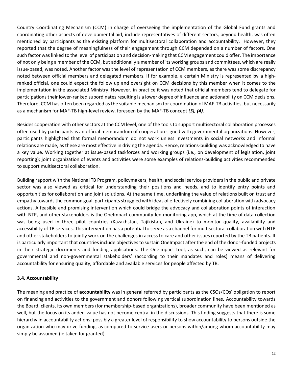Country Coordinating Mechanism (CCM) in charge of overseeing the implementation of the Global Fund grants and coordinating other aspects of developmental aid, include representatives of different sectors, beyond health, was often mentioned by participants as the existing platform for multisectoral collaboration and accountability. However, they reported that the degree of meaningfulness of their engagement through CCM depended on a number of factors. One such factor waslinked to the level of participation and decision-making that CCM engagement could offer. The importance of not only being a member of the CCM, but additionally a member of its working groups and committees, which are really issue-based, was noted. Another factor was the level of representation of CCM members, as there was some discrepancy noted between official members and delegated members. If for example, a certain Ministry is represented by a highranked official, one could expect the follow up and oversight on CCM decisions by this member when it comes to the implementation in the associated Ministry. However, in practice it was noted that official members tend to delegate for participations their lower-ranked subordinates resulting is a lower degree of influence and actionability on CCM decisions. Therefore, CCM has often been regarded as the suitable mechanism for coordination of MAF-TB activities, but necessarily as a mechanism for MAF-TB high-level review, foreseen by the MAF-TB concept *(3), (4).*

Besides cooperation with other sectors at the CCM level, one of the tools to support multisectoral collaboration processes often used by participants is an official memorandum of cooperation signed with governmental organizations. However, participants highlighted that formal memorandum do not work unless investments in social networks and informal relations are made, as these are most effective in driving the agenda. Hence, relations-building was acknowledged to have a key value. Working together at issue-based taskforces and working groups (i.e., on development of legislation, joint reporting); joint organization of events and activities were some examples of relations-building activities recommended to support multisectoral collaboration.

Building rapport with the National TB Program, policymakers, health, and social service providers in the public and private sector was also viewed as critical for understanding their positions and needs, and to identify entry points and opportunities for collaboration and joint solutions. At the same time, underlining the value of relations built on trust and empathy towards the common goal, participants struggled with ideas of effectively combining collaboration with advocacy actions. A feasible and promising intervention which could bridge the advocacy and collaboration points of interaction with NTP, and other stakeholders is the OneImpact community-led monitoring app, which at the time of data collection was being used in three pilot countries (Kazakhstan, Tajikistan, and Ukraine) to monitor quality, availability and accessibility of TB services. This intervention has a potential to serve as a channel for multisectoral collaboration with NTP and other stakeholders to jointly work on the challenges in access to care and other issues reported by the TB patients. It is particularly important that countries include objectives to sustain OneImpact after the end of the donor-funded projects in their strategic documents and funding applications. The OneImpact tool, as such, can be viewed as relevant for governmental and non-governmental stakeholders' (according to their mandates and roles) means of delivering accountability for ensuring quality, affordable and available services for people affected by TB.

### <span id="page-11-0"></span>**3.4. Accountability**

The meaning and practice of **accountability** was in general referred by participants as the CSOs/COs' obligation to report on financing and activities to the government and donors following vertical subordination lines. Accountability towards the Board, clients, its own members (for membership-based organizations), broader community have been mentioned as well, but the focus on its added-value has not become central in the discussions. This finding suggests that there is some hierarchy in accountability actions; possibly a greater level of responsibility to show accountability to persons outside the organization who may drive funding, as compared to service users or persons within/among whom accountability may simply be assumed (ie taken for granted).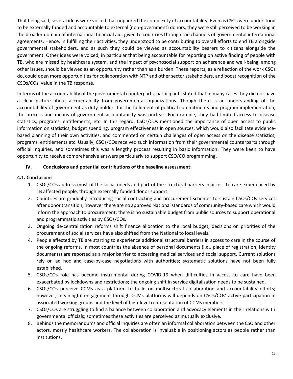That being said, several ideas were voiced that unpacked the complexity of accountability. Even as CSOs were understood to be externally funded and accountable to external (non-government) donors, they were still perceived to be working in the broader domain of international financial aid, given to countries through the channels of governmental international agreements. Hence, in fulfilling their activities, they understood to be contributing to overall efforts to end TB alongside governmental stakeholders, and as such they could be viewed as accountability bearers to citizens alongside the government. Other ideas were voiced, in particular that being accountable for reporting on active finding of people with TB, who are missed by healthcare system, and the impact of psychosocial support on adherence and well-being, among other issues, should be viewed as an opportunity rather than as a burden. These reports, as a reflection of the work CSOs do, could open more opportunities for collaboration with NTP and other sector stakeholders, and boost recognition of the CSOs/COs' value in the TB response.

In terms of the accountability of the governmental counterparts, participants stated that in many cases they did not have a clear picture about accountability from governmental organizations. Though there is an understanding of the accountability of government as duty-holders for the fulfilment of political commitments and program implementation, the process and means of government accountability was unclear. For example, they had limited access to disease statistics, programs, entitlements, etc. In this regard, CSOs/COs mentioned the importance of open access to public information on statistics, budget spending, program effectiveness in open sources, which would also facilitate evidencebased planning of their own activities. and commented on certain challenges of open access on the disease statistics, programs, entitlements etc. Usually, CSOs/COs received such information from their governmental counterparts through official inquiries, and sometimes this was a lengthy process resulting in basic information. They were keen to have opportunity to receive comprehensive answers particularly to support CSO/CO programming.

### <span id="page-12-0"></span>**IV. Conclusions and potential contributions of the baseline assessment:**

### <span id="page-12-1"></span>**4.1. Conclusions**

- 1. CSOs/COs address most of the social needs and part of the structural barriers in access to care experienced by TB affected people, through externally funded donor support.
- 2. Countries are gradually introducing social contracting and procurement schemes to sustain CSOs/COs services after donor transition, however there are no approved National standards of community-based care which would inform the approach to procurement; there is no sustainable budget from public sources to support operational and programmatic activities by CSOs/COs.
- 3. Ongoing de-centralization reforms shift finance allocation to the local budget; decisions on priorities of the procurement of social services have also shifted from the National to local levels.
- 4. People affected by TB are starting to experience additional structural barriers in access to care in the course of the ongoing reforms. In most countries the absence of personal documents (i.d., place of registration, identity documents) are reported as a major barrier to accessing medical services and social support. Current solutions rely on ad hoc and case-by-case negotiations with authorities; systematic solutions have not been fully established.
- 5. CSOs/COs role has become instrumental during COVID-19 when difficulties in access to care have been exacerbated by lockdowns and restrictions; the ongoing shift in service digitalization needs to be sustained.
- 6. CSOs/COs perceive CCMs as a platform to build on multisectoral collaboration and accountability efforts; however, meaningful engagement through CCMs platforms will depends on CSOs/COs' active participation in associated working groups and the level of high-level representation of CCMs members.
- 7. CSOs/COs are struggling to find a balance between collaboration and advocacy elements in their relations with governmental officials; sometimes these activities are perceived as mutually exclusive.
- 8. Behinds the memorandums and official inquiries are often an informal collaboration between the CSO and other actors, mostly healthcare workers. The collaboration is invaluable in positioning actors as people rather than institutions.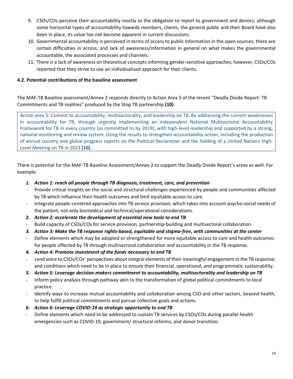- 9. CSOs/COs perceive their accountability mostly as the obligation to report to government and donors; although some horizontal types of accountability towards members, clients, the general public and their Board have also been in place, its value has not become apparent in current discussions.
- 10. Governmental accountability is perceived in terms of access to public information in the open sources; there are certain difficulties in access, and lack of awareness/information in general on what makes the governmental accountable, the associated processes and channels.
- 11. There is a lack of awareness on theoretical concepts informing gender-sensitive approaches; however, CSOs/COs reported that they strive to use an individualized approach for their clients.

## <span id="page-13-0"></span>**4.2. Potential contributions of the baseline assessment**

The MAF-TB Baseline assessment/Annex 2 responds directly to Action Area 5 of the recent "Deadly Divide Report: TB Commitments and TB realities" produced by the Stop TB partnership **(10)**.

Action area 5: Commit to accountability, multisectorality, and leadership on TB. By addressing the current weaknesses in accountability for TB, through urgently implementing an independent National Multisectoral Accountability Framework for TB in every country (as committed to by 2019), with high-level leadership and supported by a strong, national monitoring and review system. Using the results to strengthen accountability action, including the production of annual country and global progress reports on the Political Declaration and the holding of a United Nations High-Level Meeting on TB in 2023 **(10).**

There is potential for the MAF-TB Baseline Assessment/Annex 2 to support the Deadly Divide Report's areas as well. For example:

- *1. Action 1: reach all people through TB diagnosis, treatment, care, and prevention*
- Provide critical insights on the social and structural challenges experienced by people and communities affected by TB which influence their health outcomes and limit equitable access to care.
- Integrate people-centered approaches into TB service provision, which takes into account psycho-social needs of the patient, not only biomedical and technical/operational considerations.
- *2. Action 2: accelerate the development of essential new tools to end TB*
- Build capacity of CSOs/COs for service-provision, partnership-building and multisectoral collaboration.
- *3. Action 3: Make the TB response rights-based, equitable and stigma-free, with communities at the center*
- Define elements which may be adopted or strengthened for more equitable access to care and health outcomes for people affected by TB through multisectoral collaboration and accountability in the TB response.
- *4. Action 4: Promote investment of the funds necessary to end TB*
- Lend voice to CSOs/COs' perspectives about integral elements of their meaningful engagement in the TB response; and conditions which need to be in place to ensure their financial, operational, and programmatic sustainability.
- *5. Action 5: Leverage decision-makers commitment to accountability, multisectorality and leadership on TB*
- Inform policy analysis through pathway akin to the transformation of global political commitments to local practice.
- Identify ways to increase mutual accountability and collaboration among CSO and other sectors, beyond health, to help fulfill political commitments and pursue collective goals and actions.
- *6. Action 6: Leverage COVID-19 as strategic opportunity to end TB*
- Define elements which need to be addressed to sustain TB services by CSOs/COs during parallel health emergencies such as COVID-19, government/ structural reforms, and donor transition.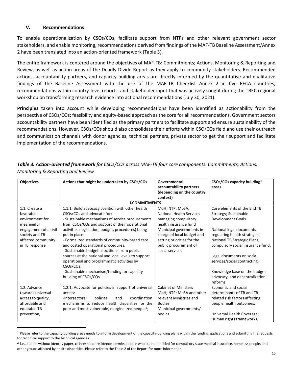### <span id="page-14-0"></span>**V. Recommendations**

To enable operationalization by CSOs/COs, facilitate support from NTPs and other relevant government sector stakeholders, and enable monitoring, recommendations derived from findings of the MAF-TB Baseline Assessment/Annex 2 have been translated into an action-oriented framework (Table 3).

The entire framework is centered around the objectives of MAF-TB: Commitments; Actions, Monitoring & Reporting and Review, as well as action areas of the Deadly Divide Report as they apply to community stakeholders. Recommended actions, accountability partners, and capacity building areas are directly informed by the quantitative and qualitative findings of the Baseline Assessment with the use of the MAF-TB Checklist Annex 2 in five EECA countries, recommendations within country-level reports, and stakeholder input that was actively sought during the TBEC regional workshop on transforming research evidence into actional recommendations (July 30, 2021).

**Principles** taken into account while developing recommendations have been identified as actionability from the perspective of CSOs/COs; feasibility and equity-based approach as the core for all recommendations. Government sectors accountability partners have been identified as the primary partners to facilitate support and ensure sustainability of the recommendations. However, CSOs/COs should also consolidate their efforts within CSO/COs field and use their outreach and communication channels with donor agencies, technical partners, private sector to get their support and facilitate implementation of the recommendations.

| <b>Objectives</b>                                                                                                                              | Actions that might be undertaken by CSOs/COs                                                                                                                                                                                                                                                                                                                                                                                                                                                                                                                                                    | Governmental<br>accountability partners<br>(depending on the country<br>context)                                                                                                                                                       | CSOs/COs capacity building <sup>1</sup><br>areas                                                                                                                                                                                                                                                                                                   |
|------------------------------------------------------------------------------------------------------------------------------------------------|-------------------------------------------------------------------------------------------------------------------------------------------------------------------------------------------------------------------------------------------------------------------------------------------------------------------------------------------------------------------------------------------------------------------------------------------------------------------------------------------------------------------------------------------------------------------------------------------------|----------------------------------------------------------------------------------------------------------------------------------------------------------------------------------------------------------------------------------------|----------------------------------------------------------------------------------------------------------------------------------------------------------------------------------------------------------------------------------------------------------------------------------------------------------------------------------------------------|
|                                                                                                                                                | <b>I.COMMITMENTS</b>                                                                                                                                                                                                                                                                                                                                                                                                                                                                                                                                                                            |                                                                                                                                                                                                                                        |                                                                                                                                                                                                                                                                                                                                                    |
| 1.1. Create a<br>favorable<br>environment for<br>meaningful<br>engagement of a civil<br>society and TB<br>affected community<br>in TB response | 1.1.1. Build advocacy coalition with other health<br>CSOs/COs and advocate for:<br>- Sustainable mechanisms of service procurements<br>from CSOs/COs and support of their operational<br>activities (legislation, budget, procedures) being<br>put in place.<br>- Formalized standards of community-based care<br>and costed operational procedures.<br>- Sustainable budget allocations from public<br>sources at the national and local levels to support<br>operational and programmatic activities by<br>CSOs/COs.<br>- Sustainable mechanism/funding for capacity<br>building of CSOs/COs. | MoH; NTP; MoSA,<br><b>National Health Services</b><br>managing compulsory<br>health insurance fund<br>Municipal governments in<br>charge of local budget and<br>setting priorities for the<br>public procurement of<br>social services | Core elements of the End TB<br>Strategy; Sustainable<br>Development Goals.<br>National legal documents<br>regulating health strategies;<br><b>National TB Strategic Plans;</b><br>compulsory social insurance fund.<br>Legal documents on social<br>services/social contracting.<br>Knowledge base on the budget<br>advocacy, and decentralization |
| 1.2. Advance<br>towards universal<br>access to quality,<br>affordable and<br>equitable TB<br>prevention,                                       | 1.2.1. Advocate for policies in support of universal<br>access:<br>coordination<br>-Intersectoral<br>policies<br>and<br>mechanisms to reduce health disparities for the<br>poor and most vulnerable, marginalized people <sup>2</sup> ;                                                                                                                                                                                                                                                                                                                                                         | <b>Cabinet of Ministers</b><br>MoH; NTP; MoSA and other<br>relevant Ministries and<br><b>Bodies</b><br>Municipal governments/<br>bodies                                                                                                | reforms.<br>Economic and social<br>determinants of TB and TB-<br>related risk factors affecting<br>people health outcomes.<br>Universal Health Coverage;<br>Human rights frameworks.                                                                                                                                                               |

*Table 3. Action-oriented framework for CSOs/COs across MAF-TB four core components: Commitments; Actions, Monitoring & Reporting and Review*

 $1$  Please refer to the capacity-building areas needs to inform development of the capacity-building plans within the funding applications and submitting the requests for technical support to the technical agencies

<sup>&</sup>lt;sup>2</sup> I.e., people without identity paper, citizenship or residence permits, people who are not entitled for compulsory state medical insurance, homeless people, and other groups affected by health disparities. Please refer to the Table 2 of the Report for more information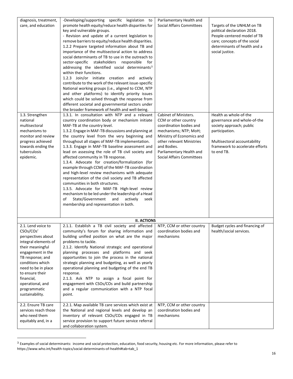| diagnosis, treatment,<br>care, and education                                                                                                                                                                                                                                                                                 | -Developing/supporting specific legislation to<br>promote health equity/reduce health disparities for<br>key and vulnerable groups.<br>- Revision and update of a current legislation to<br>remove barriers to equity/reduce health disparities.<br>1.2.2 Prepare targeted information about TB and<br>importance of the multisectoral action to address<br>social determinants of TB to use in the outreach to<br>sector-specific stakeholders responsible for<br>addressing the identified social determinants <sup>3</sup><br>within their functions.<br>1.2.3 Join/or initiate creation and actively<br>contribute to the work of the relevant issue-specific<br>National working groups (i.e., aligned to CCM, NTP<br>and other platforms) to identify priority issues<br>which could be solved through the response from<br>different societal and governmental sectors under<br>the broader framework of health and well-being. | Parliamentary Health and<br><b>Social Affairs Committees</b>                                                                                                                                                                               | Targets of the UNHLM on TB<br>political declaration 2018.<br>People-centered model of TB<br>care; concepts of the social<br>determinants of health and a<br>social justice.          |
|------------------------------------------------------------------------------------------------------------------------------------------------------------------------------------------------------------------------------------------------------------------------------------------------------------------------------|----------------------------------------------------------------------------------------------------------------------------------------------------------------------------------------------------------------------------------------------------------------------------------------------------------------------------------------------------------------------------------------------------------------------------------------------------------------------------------------------------------------------------------------------------------------------------------------------------------------------------------------------------------------------------------------------------------------------------------------------------------------------------------------------------------------------------------------------------------------------------------------------------------------------------------------|--------------------------------------------------------------------------------------------------------------------------------------------------------------------------------------------------------------------------------------------|--------------------------------------------------------------------------------------------------------------------------------------------------------------------------------------|
| 1.3. Strengthen<br>national<br>multisectoral<br>mechanisms to<br>monitor and review<br>progress achieved<br>towards ending the<br>tuberculosis<br>epidemic.                                                                                                                                                                  | 1.3.1. In consultation with NTP and a relevant<br>country coordination body or mechanism initiate<br>MAF-TB at the country level.<br>1.3.2. Engage in MAF-TB discussions and planning at<br>the country level from the very beginning and<br>throughout all stages of MAF-TB implementation.<br>1.3.3. Engage in MAF-TB baseline assessment and<br>lead on assessing the role of TB civil society and<br>affected community in TB response.<br>1.3.4. Advocate for creation/formalization (for<br>example through CCM) of the MAF-TB coordination<br>and high-level review mechanisms with adequate<br>representation of the civil society and TB affected<br>communities in both structures.<br>1.3.5. Advocate for MAF-TB High-level review<br>mechanism to be led under the leadership of a Head<br>State/Government<br>and<br>actively<br>of<br>seek<br>membership and representation in both.                                     | Cabinet of Ministers.<br>CCM or other country<br>coordination bodies and<br>mechanisms; NTP; MoH;<br>Ministry of Economics and<br>other relevant Ministries<br>and Bodies.<br>Parliamentary Health and<br><b>Social Affairs Committees</b> | Health as whole-of-the<br>governance and whole-of-the<br>society approach; public<br>participation.<br>Multisectoral accountability<br>framework to accelerate efforts<br>to end TB. |
| 2.1. Lend voice to<br>CSOs/COs'<br>perspectives about<br>integral elements of<br>their meaningful<br>engagement in the<br>TB response; and<br>conditions which<br>need to be in place<br>to ensure their<br>financial,<br>operational, and<br>programmatic<br>sustainability.<br>2.2. Ensure TB care<br>services reach those | <b>II. ACTIONS</b><br>2.1.1. Establish a TB civil society and affected<br>community's forum for sharing information and<br>building unified position on what are the major<br>problems to tackle.<br>2.1.2. Identify National strategic and operational<br>planning processes and platforms and seek<br>opportunities to join the process in the national<br>strategic planning and budgeting, as well as yearly<br>operational planning and budgeting of the end TB<br>response.<br>2.1.3. Ask NTP to assign a focal point for<br>engagement with CSOs/COs and build partnership<br>and a regular communication with a NTP focal<br>point.<br>2.2.1. Map available TB care services which exist at<br>the National and regional levels and develop an                                                                                                                                                                                 | NTP, CCM or other country<br>coordination bodies and<br>mechanisms<br>NTP, CCM or other country<br>coordination bodies and                                                                                                                 | Budget cycles and financing of<br>health/social services.                                                                                                                            |
| who need them<br>equitably and, in a                                                                                                                                                                                                                                                                                         | inventory of relevant CSOs/COs engaged in TB<br>service provision to support future service referral<br>and collaboration system.                                                                                                                                                                                                                                                                                                                                                                                                                                                                                                                                                                                                                                                                                                                                                                                                      | mechanisms                                                                                                                                                                                                                                 |                                                                                                                                                                                      |

 $^3$  Examples of social determinants: income and social protection, education, food security, housing etc. For more information, please refer to https://www.who.int/health-topics/social-determinants-of-health#tab=tab\_1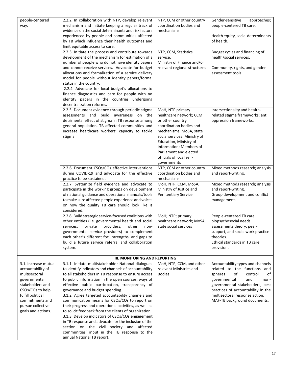| people-centered<br>way.                                                                                                                                                                               | 2.2.2. In collaboration with NTP, develop relevant<br>mechanism and initiate keeping a regular track of<br>evidence on the social determinants and risk factors<br>experienced by people and communities affected<br>by TB which influence their health outcomes and<br>limit equitable access to care.<br>2.2.3. Initiate the process and contribute towards<br>development of the mechanism for estimation of a<br>number of people who do not have identity papers<br>and cannot receive services. Advocate for budget<br>allocations and formalization of a service delivery<br>model for people without identity papers/formal<br>status in the country.                                                                                                                  | NTP, CCM or other country<br>coordination bodies and<br>mechanisms<br>NTP, CCM, Statistics<br>service.<br>Ministry of Finance and/or<br>relevant regional structures                                                      | Gender-sensitive<br>approaches;<br>people-centered TB care.<br>Health equity, social determinants<br>of health.<br>Budget cycles and financing of<br>health/social services.<br>Community, rights, and gender<br>assessment tools.                                            |
|-------------------------------------------------------------------------------------------------------------------------------------------------------------------------------------------------------|--------------------------------------------------------------------------------------------------------------------------------------------------------------------------------------------------------------------------------------------------------------------------------------------------------------------------------------------------------------------------------------------------------------------------------------------------------------------------------------------------------------------------------------------------------------------------------------------------------------------------------------------------------------------------------------------------------------------------------------------------------------------------------|---------------------------------------------------------------------------------------------------------------------------------------------------------------------------------------------------------------------------|-------------------------------------------------------------------------------------------------------------------------------------------------------------------------------------------------------------------------------------------------------------------------------|
|                                                                                                                                                                                                       | 2.2.4. Advocate for local budget's allocations to<br>finance diagnostics and care for people with no<br>identity papers in the countries undergoing<br>decentralization reforms.<br>2.2.5. Document evidence through periodic stigma<br>assessments and build<br>awareness on the<br>detrimental effect of stigma in TB response among<br>general population, TB affected communities and<br>increase healthcare workers' capacity to tackle<br>stigma.                                                                                                                                                                                                                                                                                                                        | MoH, NTP primary<br>healthcare network; CCM<br>or other country<br>coordination bodies and<br>mechanisms; MoSA, state<br>social services. Ministry of<br>Education, Ministry of<br>Information; Members of                | Intersectionality and health-<br>related stigma frameworks; anti<br>oppression frameworks.                                                                                                                                                                                    |
|                                                                                                                                                                                                       | 2.2.6. Document CSOs/COs effective interventions<br>during COVID-19 and advocate for the effective<br>practice to be sustained.<br>2.2.7. Systemize field evidence and advocate to<br>participate in the working groups on development<br>of national guidance and operational manuals/tools                                                                                                                                                                                                                                                                                                                                                                                                                                                                                   | Parliament and elected<br>officials of local self-<br>governments<br>NTP, CCM or other country<br>coordination bodies and<br>mechanisms<br>MoH, NTP, CCM, MoSA,<br>Ministry of Justice and<br><b>Penitentiary Service</b> | Mixed methods research; analysis<br>and report-writing.<br>Mixed methods research; analysis<br>and report-writing.<br>Group development and conflict                                                                                                                          |
|                                                                                                                                                                                                       | to make sure affected people experience and voices<br>on how the quality TB care should look like is<br>considered.<br>2.2.8. Build strategic service-focused coalitions with<br>other entities (i.e. governmental health and social<br>private<br>providers,<br>other<br>services,<br>non-                                                                                                                                                                                                                                                                                                                                                                                                                                                                                    | MoH; NTP; primary<br>healthcare network; MoSA,<br>state social services                                                                                                                                                   | management.<br>People-centered TB care.<br>biopsychosocial needs<br>assessments theory, peer-                                                                                                                                                                                 |
|                                                                                                                                                                                                       | governmental service providers) to complement<br>each other's different foci, strengths, and gaps to<br>build a future service referral and collaboration<br>system.<br><b>III. MONITORING AND REPORTING</b>                                                                                                                                                                                                                                                                                                                                                                                                                                                                                                                                                                   |                                                                                                                                                                                                                           | support, and social work practice<br>theories.<br>Ethical standards in TB care<br>provision.                                                                                                                                                                                  |
| 3.1. Increase mutual<br>accountability of<br>multisectoral<br>governmental<br>stakeholders and<br>CSOs/COs to help<br>fulfill political<br>commitments and<br>pursue collective<br>goals and actions. | 3.1.1. Initiate multistakeholder National dialogues<br>to identify indicators and channels of accountability<br>to all stakeholders in TB response to ensure access<br>to public information in the open sources, ways of<br>effective public participation, transparency of<br>governance and budget spending.<br>3.1.2. Agree targeted accountability channels and<br>communication means for CSOs/COs to report on<br>their progress and operational activities, as well as<br>to solicit feedback from the clients of organization.<br>3.1.3. Develop indicators of CSOs/COs engagement<br>in TB response and advocate for the inclusion of the<br>section on the civil society and affected<br>communities' input in the TB response to the<br>annual National TB report. | MoH, NTP, CCM, and other<br>relevant Ministries and<br><b>Bodies</b>                                                                                                                                                      | Accountability types and channels<br>related to the functions and<br>of<br>control<br>of<br>spheres<br>and<br>governmental<br>non-<br>governmental stakeholders; best<br>practices of accountability in the<br>multisectoral response action.<br>MAF-TB background documents. |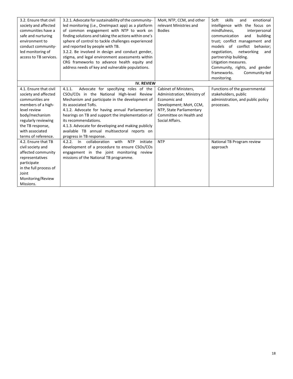| 3.2. Ensure that civil | 3.2.1. Advocate for sustainability of the community-            | MoH, NTP, CCM, and other    | skills<br>Soft<br>emotional<br>and |
|------------------------|-----------------------------------------------------------------|-----------------------------|------------------------------------|
| society and affected   | led monitoring (i.e., Onelmpact app) as a platform              | relevant Ministries and     | intelligence with the focus on     |
| communities have a     | of common engagement with NTP to work on                        | <b>Bodies</b>               | mindfulness,<br>interpersonal      |
| safe and nurturing     | finding solutions and taking the actions within one's           |                             | building<br>communication<br>and   |
| environment to         | sphere of control to tackle challenges experienced              |                             | trust; conflict management and     |
| conduct community-     | and reported by people with TB.                                 |                             | models of conflict behavior:       |
| led monitoring of      | 3.2.2. Be involved in design and conduct gender,                |                             | negotiation,<br>networking<br>and  |
| access to TB services. | stigma, and legal environment assessments within                |                             | partnership building.              |
|                        | CRG frameworks to advance health equity and                     |                             | Litigation measures.               |
|                        | address needs of key and vulnerable populations.                |                             | Community, rights, and gender      |
|                        |                                                                 |                             | frameworks.<br>Community-led       |
|                        |                                                                 |                             | monitoring.                        |
|                        | <b>IV. REVIEW</b>                                               |                             |                                    |
| 4.1. Ensure that civil | Advocate for specifying roles of the<br>4.1.1.                  | Cabinet of Ministers,       | Functions of the governmental      |
| society and affected   | CSOs/COs in the National High-level Review                      | Administration; Ministry of | stakeholders, public               |
| communities are        | Mechanism and participate in the development of                 | Economic and                | administration, and public policy  |
| members of a high-     | its associated ToRs.                                            | Development; MoH, CCM,      | processes.                         |
| level review           | 4.1.2. Advocate for having annual Parliamentary                 | NTP, State Parliamentary    |                                    |
| body/mechanism         | hearings on TB and support the implementation of                | Committee on Health and     |                                    |
| regularly reviewing    | its recommendations.                                            | Social Affairs.             |                                    |
| the TB response,       | 4.1.3. Advocate for developing and making publicly              |                             |                                    |
| with associated        | available TB annual multisectoral reports on                    |                             |                                    |
| terms of reference.    | progress in TB response.                                        |                             |                                    |
| 4.2. Ensure that TB    | ln<br>collaboration<br>with<br><b>NTP</b><br>4.2.2.<br>initiate | <b>NTP</b>                  | National TB Program review         |
| civil society and      | development of a procedure to ensure CSOs/COs                   |                             | approach                           |
| affected community     | engagement in the joint monitoring review                       |                             |                                    |
| representatives        | missions of the National TB programme.                          |                             |                                    |
| participate            |                                                                 |                             |                                    |
| in the full process of |                                                                 |                             |                                    |
| Joint                  |                                                                 |                             |                                    |
| Monitoring/Review      |                                                                 |                             |                                    |
| Missions.              |                                                                 |                             |                                    |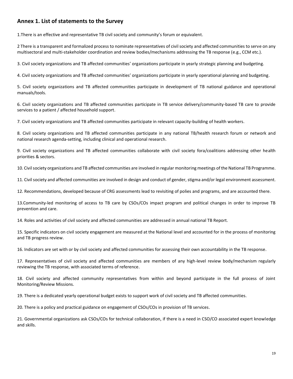# <span id="page-18-0"></span>**Annex 1. List of statements to the Survey**

1.There is an effective and representative TB civil society and community's forum or equivalent.

2 There is a transparent and formalized process to nominate representatives of civil society and affected communities to serve on any multisectoral and multi-stakeholder coordination and review bodies/mechanisms addressing the TB response (e.g., CCM etc.).

3. Civil society organizations and TB affected communities' organizations participate in yearly strategic planning and budgeting.

4. Civil society organizations and TB affected communities' organizations participate in yearly operational planning and budgeting.

5. Civil society organizations and TB affected communities participate in development of TB national guidance and operational manuals/tools.

6. Civil society organizations and TB affected communities participate in TB service delivery/community-based TB care to provide services to a patient / affected household support.

7. Civil society organizations and TB affected communities participate in relevant capacity-building of health workers.

8. Civil society organizations and TB affected communities participate in any national TB/health research forum or network and national research agenda-setting, including clinical and operational research.

9. Civil society organizations and TB affected communities collaborate with civil society fora/coalitions addressing other health priorities & sectors.

10. Civil society organizations and TB affected communities are involved in regular monitoring meetings of the National TB Programme.

11. Civil society and affected communities are involved in design and conduct of gender, stigma and/or legal environment assessment.

12. Recommendations, developed because of CRG assessments lead to revisiting of polies and programs, and are accounted there.

13.Community-led monitoring of access to TB care by CSOs/COs impact program and political changes in order to improve TB prevention and care.

14. Roles and activities of civil society and affected communities are addressed in annual national TB Report.

15. Specific indicators on civil society engagement are measured at the National level and accounted for in the process of monitoring and TB progress review.

16. Indicators are set with or by civil society and affected communities for assessing their own accountability in the TB response.

17. Representatives of civil society and affected communities are members of any high-level review body/mechanism regularly reviewing the TB response, with associated terms of reference.

18. Civil society and affected community representatives from within and beyond participate in the full process of Joint Monitoring/Review Missions.

19. There is a dedicated yearly operational budget exists to support work of civil society and TB affected communities.

20. There is a policy and practical guidance on engagement of CSOs/COs in provision of TB services.

21. Governmental organizations ask CSOs/COs for technical collaboration, if there is a need in CSO/CO associated expert knowledge and skills.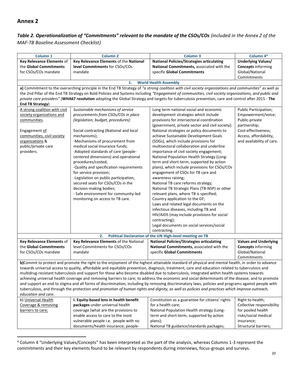## <span id="page-19-0"></span>*Table 2. Operationalization of "Commitments" relevant to the mandate of the CSOs/COs (included in the Annex 2 of the MAF-TB Baseline Assessment Checklist)*

| Column <sub>1</sub>                                                                                                                                | <b>Column 2</b>                                                 | Column <sub>3</sub>                                                                                                                                   | Column 4 <sup>4</sup>        |  |  |
|----------------------------------------------------------------------------------------------------------------------------------------------------|-----------------------------------------------------------------|-------------------------------------------------------------------------------------------------------------------------------------------------------|------------------------------|--|--|
| Key Relevance Elements of                                                                                                                          | Key Relevance Elements of the National                          | <b>National Policies/Strategies articulating</b>                                                                                                      | <b>Underlying Values/</b>    |  |  |
| the Global Commitments                                                                                                                             | level Commitments for CSOs/COs                                  | National Commitments, associated with the                                                                                                             | <b>Concepts informing</b>    |  |  |
| for CSOs/COs mandate                                                                                                                               | mandate                                                         | specific Global Commitments                                                                                                                           | Global/National              |  |  |
|                                                                                                                                                    |                                                                 |                                                                                                                                                       | Commitments                  |  |  |
|                                                                                                                                                    | 1.                                                              | <b>World Health Assembly</b>                                                                                                                          |                              |  |  |
|                                                                                                                                                    |                                                                 | a) Commitment to the overarching principle in the End TB Strategy of "a strong coalition with civil society organizations and communities" as well as |                              |  |  |
|                                                                                                                                                    |                                                                 | the 2nd Pillar of the End TB Strategy on Bold Policies and Systems including "Engagement of communities, civil society organizations, and public and  |                              |  |  |
|                                                                                                                                                    |                                                                 | private care providers" (WHA67 resolution adopting the Global Strategy and targets for tuberculosis prevention, care and control after 2015 - The     |                              |  |  |
| End TB Strategy)                                                                                                                                   |                                                                 |                                                                                                                                                       |                              |  |  |
| A strong coalition with civil                                                                                                                      | Sustainable mechanisms of service                               | Long term national social and economic                                                                                                                | Public Participation;        |  |  |
| society organizations and                                                                                                                          | procurements from CSOs/COs in place                             | development strategies which include                                                                                                                  | Empowerment/voice;           |  |  |
| communities.                                                                                                                                       | (legislation, budget, procedures):                              | provisions for intersectoral coordination                                                                                                             | Public-private               |  |  |
|                                                                                                                                                    |                                                                 | (government, private sector and civil society);                                                                                                       | partnership;                 |  |  |
| Engagement of                                                                                                                                      | Social contracting (National and local                          | National strategies or policy documents to                                                                                                            | Cost-effectiveness;          |  |  |
| communities, civil society                                                                                                                         | mechanisms);                                                    | achieve Sustainable Development Goals                                                                                                                 | Access, affordability,       |  |  |
| organizations &                                                                                                                                    | -Mechanisms of procurement from                                 | (SDGs), which include provisions for                                                                                                                  | and availability of care.    |  |  |
| public/private care                                                                                                                                | medical social insurance funds;                                 | multisectoral collaboration and underline                                                                                                             |                              |  |  |
| providers.                                                                                                                                         | -Adopted standards of care (people-                             | importance of civil society engagement;                                                                                                               |                              |  |  |
|                                                                                                                                                    | centered dimensions) and operational                            | National Population Health Strategy (Long-                                                                                                            |                              |  |  |
|                                                                                                                                                    | procedures/costed;                                              | term and short-term, supported by action                                                                                                              |                              |  |  |
|                                                                                                                                                    | -Quality and specification requirements                         | plans), which include provisions for CSOs/COs                                                                                                         |                              |  |  |
|                                                                                                                                                    | for service provision;                                          | engagement of CSOs for TB care and                                                                                                                    |                              |  |  |
|                                                                                                                                                    | -Legislation on public participation,                           | awareness raising;                                                                                                                                    |                              |  |  |
|                                                                                                                                                    | secured seats for CSOs/COs in the                               | National TB care reforms strategy;                                                                                                                    |                              |  |  |
|                                                                                                                                                    | decision-making bodies;<br>- Safe environment for community-led | National TB Strategic Plans (TB-NSP) or other                                                                                                         |                              |  |  |
|                                                                                                                                                    | monitoring on access to TB care.                                | relevant plans, where TB is specified;<br>Country application to the GF;                                                                              |                              |  |  |
|                                                                                                                                                    |                                                                 | Laws and related legal documents on the                                                                                                               |                              |  |  |
|                                                                                                                                                    |                                                                 | infectious diseases, including TB and                                                                                                                 |                              |  |  |
|                                                                                                                                                    |                                                                 | HIV/AIDS (may include provisions for social                                                                                                           |                              |  |  |
|                                                                                                                                                    |                                                                 | contracting);                                                                                                                                         |                              |  |  |
|                                                                                                                                                    |                                                                 | Legal documents on social services/social                                                                                                             |                              |  |  |
|                                                                                                                                                    |                                                                 | contracting.                                                                                                                                          |                              |  |  |
|                                                                                                                                                    | 2.                                                              | Political Declaration of the UN High-level meeting on TB                                                                                              |                              |  |  |
| Key Relevance Elements of                                                                                                                          | Key Relevance Elements of the National                          | <b>National Policies/Strategies articulating</b>                                                                                                      | <b>Values and Underlying</b> |  |  |
| the Global Commitments                                                                                                                             | level Commitments for CSOs/COs                                  | National Commitments, associated with the                                                                                                             | <b>Concepts informing</b>    |  |  |
| for CSOs/COs mandate                                                                                                                               | mandate                                                         | specific Global Commitments                                                                                                                           | Global/National              |  |  |
|                                                                                                                                                    |                                                                 |                                                                                                                                                       | Commitments                  |  |  |
| b)Commit to protect and promote the right to the enjoyment of the highest attainable standard of physical and mental health, in order to advance   |                                                                 |                                                                                                                                                       |                              |  |  |
|                                                                                                                                                    |                                                                 | towards universal access to quality, affordable and equitable prevention, diagnosis, treatment, care and education related to tuberculosis and        |                              |  |  |
| multidrug-resistant tuberculosis and support for those who become disabled due to tuberculosis, integrated within health systems towards           |                                                                 |                                                                                                                                                       |                              |  |  |
| achieving universal health coverage and removing barriers to care; to address the economic and social determinants of the disease; and to promote  |                                                                 |                                                                                                                                                       |                              |  |  |
| and support an end to stigma and all forms of discrimination, including by removing discriminatory laws, policies and programs against people with |                                                                 |                                                                                                                                                       |                              |  |  |
| tuberculosis, and through the protection and promotion of human rights and dignity, as well as policies and practices which improve outreach,      |                                                                 |                                                                                                                                                       |                              |  |  |
| education and care.                                                                                                                                |                                                                 |                                                                                                                                                       |                              |  |  |
| b) Universal Health                                                                                                                                | I. Equity-based lens in health benefit                          | Constitution as a guarantee for citizens' rights                                                                                                      | Right to health;             |  |  |
| Coverage & removing                                                                                                                                | packages under universal health                                 | for a health care;                                                                                                                                    | Collective responsibility    |  |  |
| barriers to care;                                                                                                                                  | coverage (what are the provisions to                            | National Population Health strategy (Long-                                                                                                            | for pooled health            |  |  |
|                                                                                                                                                    | enable access to care to the most                               | term and short-term, supported by action                                                                                                              | risks/social medical         |  |  |
|                                                                                                                                                    | vulnerable people i.e. people with no                           | plans);                                                                                                                                               | insurance;                   |  |  |
|                                                                                                                                                    | documents/health insurance; people-                             | National TB guidance/standards packages;                                                                                                              | Structural barriers;         |  |  |

<sup>4</sup> Column 4 "Underlying Values/Concepts" has been interpreted as the part of the analysis, whereas Columns 1-3 represent the commitments and their key elements found to be relevant by respondents during interviews, focus-groups and surveys.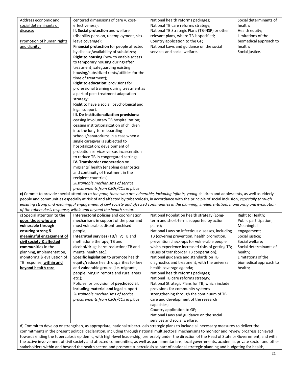| Address economic and        | centered dimensions of care v. cost-                               | National health reforms packages;                                                                                                                   | Social determinants of |
|-----------------------------|--------------------------------------------------------------------|-----------------------------------------------------------------------------------------------------------------------------------------------------|------------------------|
| social determinants of      | effectiveness);                                                    | National TB care reforms strategy;                                                                                                                  | health;                |
| disease;                    | II. Social protection and welfare                                  | National TB Strategic Plans (TB-NSP) or other                                                                                                       | Health equity;         |
|                             | (disability pension, unemployment, sick-                           | relevant plans, where TB is specified;                                                                                                              | Limitations of the     |
| Promotion of human rights   | leave coverage):                                                   | Country application to the GF;                                                                                                                      | biomedical approach to |
| and dignity;                | Financial protection for people affected                           | National Laws and guidance on the social                                                                                                            | health;                |
|                             | by disease/availability of subsidizes;                             | services and social welfare.                                                                                                                        | Social justice.        |
|                             | Right to housing (how to enable access                             |                                                                                                                                                     |                        |
|                             | to temporary housing during/after                                  |                                                                                                                                                     |                        |
|                             | treatment; safeguarding existing                                   |                                                                                                                                                     |                        |
|                             | housing/subsidized rents/utilities for the                         |                                                                                                                                                     |                        |
|                             | time of treatment);                                                |                                                                                                                                                     |                        |
|                             | Right to education: provisions for                                 |                                                                                                                                                     |                        |
|                             | professional training during treatment as                          |                                                                                                                                                     |                        |
|                             | a part of post-treatment adaptation                                |                                                                                                                                                     |                        |
|                             |                                                                    |                                                                                                                                                     |                        |
|                             | strategy;                                                          |                                                                                                                                                     |                        |
|                             | Right to have a social, psychological and<br>legal support.        |                                                                                                                                                     |                        |
|                             | III. De-institutionalization provisions:                           |                                                                                                                                                     |                        |
|                             | ceasing involuntary TB hospitalization;                            |                                                                                                                                                     |                        |
|                             | ceasing institutionalization of children                           |                                                                                                                                                     |                        |
|                             | into the long-term boarding                                        |                                                                                                                                                     |                        |
|                             | schools/sanatoriums in a case when a                               |                                                                                                                                                     |                        |
|                             | single caregiver is subjected to                                   |                                                                                                                                                     |                        |
|                             | hospitalization; development of                                    |                                                                                                                                                     |                        |
|                             | probation services versus incarceration                            |                                                                                                                                                     |                        |
|                             | to reduce TB in congregated settings.                              |                                                                                                                                                     |                        |
|                             | IV. Transborder cooperation on                                     |                                                                                                                                                     |                        |
|                             | migrants' health (enabling diagnostics                             |                                                                                                                                                     |                        |
|                             | and continuity of treatment in the                                 |                                                                                                                                                     |                        |
|                             | recipient countries).                                              |                                                                                                                                                     |                        |
|                             | Sustainable mechanisms of service                                  |                                                                                                                                                     |                        |
|                             | procurements from CSOs/COs in place                                |                                                                                                                                                     |                        |
|                             |                                                                    | c) Commit to provide special attention to the poor, those who are vulnerable, including infants, young children and adolescents, as well as elderly |                        |
|                             |                                                                    | people and communities especially at risk of and affected by tuberculosis, in accordance with the principle of social inclusion, especially through |                        |
|                             |                                                                    | ensuring strong and meaningful engagement of civil society and affected communities in the planning, implementation, monitoring and evaluation      |                        |
|                             | of the tuberculosis response, within and beyond the health sector. |                                                                                                                                                     |                        |
| c) Special attention to the | Intersectoral policies and coordination                            | National Population health strategy (Long-                                                                                                          | Right to Health;       |
| poor, those who are         | mechanisms in support of the poor and                              | term and short-term, supported by action                                                                                                            | Public participation;  |
| vulnerable through          | most vulnerable, disenfranchised                                   | plans);                                                                                                                                             | Meaningful             |
| ensuring strong &           | people;                                                            | National Laws on infectious diseases, including                                                                                                     | engagement;            |
| meaningful engagement of    | Integrated services (TB/HIV; TB and                                | TB (covering prevention, health promotion,                                                                                                          | Social justice;        |
| civil society & affected    | methadone therapy; TB and                                          | prevention check-ups for vulnerable people                                                                                                          | Social welfare;        |
| communities in the          | alcohol/drugs harm reduction; TB and                               | which experience increased risks of getting TB;                                                                                                     | Social determinants of |
| planning, implementation,   | mental health etc.);                                               | issues of transborder TB cooperation);                                                                                                              | health;                |
| monitoring & evaluation of  | Specific legislation to promote health                             | National guidance and standards on TB                                                                                                               | Limitations of the     |
| TB response; within and     | equity/reduce health disparities for key                           | diagnostics and treatment, with the universal                                                                                                       | biomedical approach to |
| beyond health care          | and vulnerable groups (i.e. migrants;                              | health coverage agenda;                                                                                                                             | health;                |
|                             | people living in remote and rural areas                            | National health reforms packages;                                                                                                                   |                        |
|                             | $etc.$ );                                                          | National TB care reforms strategy;                                                                                                                  |                        |
|                             | Policies for provision of psychosocial,                            | National Strategic Plans for TB, which include                                                                                                      |                        |
|                             | including material and legal support.                              | provisions for community systems                                                                                                                    |                        |
|                             | Sustainable mechanisms of service                                  | strengthening through the continuum of TB                                                                                                           |                        |
|                             | procurements from CSOs/COs in place                                | care and development of the research                                                                                                                |                        |
|                             |                                                                    | capacities;                                                                                                                                         |                        |
|                             |                                                                    | Country application to GF;                                                                                                                          |                        |
|                             |                                                                    | National Laws and guidance on the social                                                                                                            |                        |
|                             |                                                                    | services and social welfare.                                                                                                                        |                        |
|                             |                                                                    | d) Commit to develop or strengthen, as appropriate, national tuberculosis strategic plans to include all necessary measures to deliver the          |                        |

commitments in the present political declaration, including through national multisectoral mechanisms to monitor and review progress achieved towards ending the tuberculosis epidemic, with high-level leadership, preferably under the direction of the Head of State or Government, and with the active involvement of civil society and affected communities, as well as parliamentarians, local governments, academia, private sector and other stakeholders within and beyond the health sector, and promote tuberculosis as part of national strategic planning and budgeting for health,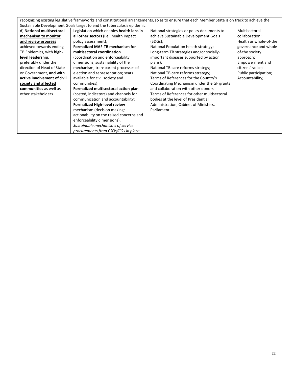| recognizing existing legislative frameworks and constitutional arrangements, so as to ensure that each Member State is on track to achieve the |                                                                        |                                             |                        |  |
|------------------------------------------------------------------------------------------------------------------------------------------------|------------------------------------------------------------------------|---------------------------------------------|------------------------|--|
|                                                                                                                                                | Sustainable Development Goals target to end the tuberculosis epidemic. |                                             |                        |  |
| d) National multisectoral                                                                                                                      | Legislation which enables health lens in                               | National strategies or policy documents to  | Multisectoral          |  |
| mechanism to monitor                                                                                                                           | all other sectors (i.e., health impact                                 | achieve Sustainable Development Goals       | collaboration;         |  |
| and review progress                                                                                                                            | policy assessment);                                                    | (SDGs);                                     | Health as whole-of-the |  |
| achieved towards ending                                                                                                                        | <b>Formalized MAF-TB mechanism for</b>                                 | National Population health strategy;        | governance and whole-  |  |
| TB Epidemics, with high-                                                                                                                       | multisectoral coordination                                             | Long-term TB strategies and/or socially-    | of-the society         |  |
| level leadership,                                                                                                                              | (coordination and enforceability                                       | important diseases supported by action      | approach;              |  |
| preferably under the                                                                                                                           | dimensions; sustainability of the                                      | plans);                                     | Empowerment and        |  |
| direction of Head of State                                                                                                                     | mechanism; transparent processes of                                    | National TB care reforms strategy;          | citizens' voice;       |  |
| or Government, and with                                                                                                                        | election and representation; seats                                     | National TB care reforms strategy;          | Public participation;  |  |
| active involvement of civil                                                                                                                    | available for civil society and                                        | Terms of References for the Country's       | Accountability;        |  |
| society and affected                                                                                                                           | communities);                                                          | Coordinating Mechanism under the GF grants  |                        |  |
| communities as well as                                                                                                                         | Formalized multisectoral action plan                                   | and collaboration with other donors         |                        |  |
| other stakeholders                                                                                                                             | (costed, indicators) and channels for                                  | Terms of References for other multisectoral |                        |  |
|                                                                                                                                                | communication and accountability;                                      | bodies at the level of Presidential         |                        |  |
|                                                                                                                                                | <b>Formalized High-level review</b>                                    | Administration, Cabinet of Ministers,       |                        |  |
|                                                                                                                                                | mechanism (decision making;                                            | Parliament.                                 |                        |  |
|                                                                                                                                                | actionability on the raised concerns and                               |                                             |                        |  |
|                                                                                                                                                | enforceability dimensions).                                            |                                             |                        |  |
|                                                                                                                                                | Sustainable mechanisms of service                                      |                                             |                        |  |
|                                                                                                                                                | procurements from CSOs/COs in place                                    |                                             |                        |  |